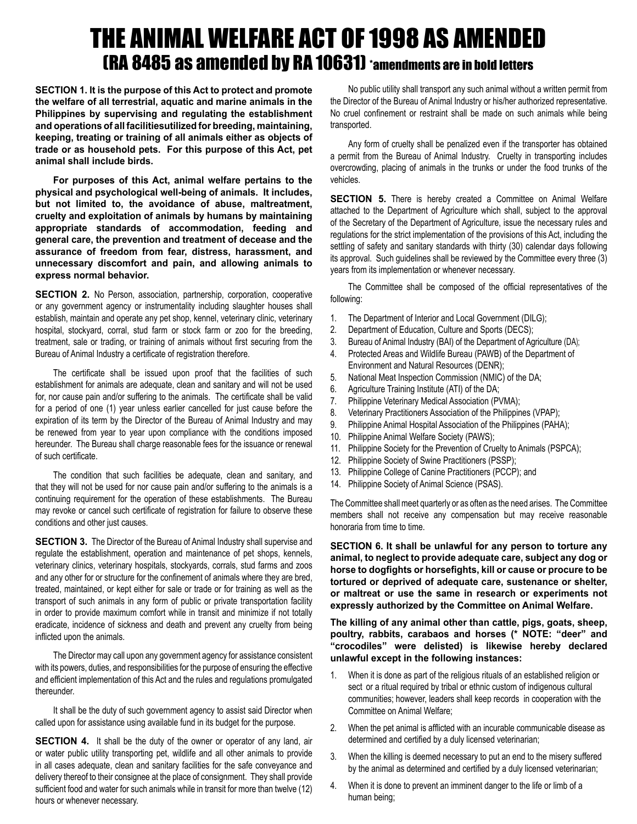## THE ANIMAL WELFARE ACT OF 1998 AS AMENDED (RA 8485 as amended by RA 10631) \*amendments are in bold letters

**SECTION 1. It is the purpose of this Act to protect and promote the welfare of all terrestrial, aquatic and marine animals in the Philippines by supervising and regulating the establishment and operations of all facilitiesutilized for breeding, maintaining, keeping, treating or training of all animals either as objects of trade or as household pets. For this purpose of this Act, pet animal shall include birds.**

**For purposes of this Act, animal welfare pertains to the physical and psychological well-being of animals. It includes, but not limited to, the avoidance of abuse, maltreatment, cruelty and exploitation of animals by humans by maintaining appropriate standards of accommodation, feeding and general care, the prevention and treatment of decease and the assurance of freedom from fear, distress, harassment, and unnecessary discomfort and pain, and allowing animals to express normal behavior.**

**SECTION 2.** No Person, association, partnership, corporation, cooperative or any government agency or instrumentality including slaughter houses shall establish, maintain and operate any pet shop, kennel, veterinary clinic, veterinary hospital, stockyard, corral, stud farm or stock farm or zoo for the breeding, treatment, sale or trading, or training of animals without first securing from the Bureau of Animal Industry a certificate of registration therefore.

The certificate shall be issued upon proof that the facilities of such establishment for animals are adequate, clean and sanitary and will not be used for, nor cause pain and/or suffering to the animals. The certificate shall be valid for a period of one (1) year unless earlier cancelled for just cause before the expiration of its term by the Director of the Bureau of Animal Industry and may be renewed from year to year upon compliance with the conditions imposed hereunder. The Bureau shall charge reasonable fees for the issuance or renewal of such certificate.

The condition that such facilities be adequate, clean and sanitary, and that they will not be used for nor cause pain and/or suffering to the animals is a continuing requirement for the operation of these establishments. The Bureau may revoke or cancel such certificate of registration for failure to observe these conditions and other just causes.

**SECTION 3.** The Director of the Bureau of Animal Industry shall supervise and regulate the establishment, operation and maintenance of pet shops, kennels, veterinary clinics, veterinary hospitals, stockyards, corrals, stud farms and zoos and any other for or structure for the confinement of animals where they are bred, treated, maintained, or kept either for sale or trade or for training as well as the transport of such animals in any form of public or private transportation facility in order to provide maximum comfort while in transit and minimize if not totally eradicate, incidence of sickness and death and prevent any cruelty from being inflicted upon the animals.

The Director may call upon any government agency for assistance consistent with its powers, duties, and responsibilities for the purpose of ensuring the effective and efficient implementation of this Act and the rules and regulations promulgated thereunder.

It shall be the duty of such government agency to assist said Director when called upon for assistance using available fund in its budget for the purpose.

**SECTION 4.** It shall be the duty of the owner or operator of any land, air or water public utility transporting pet, wildlife and all other animals to provide in all cases adequate, clean and sanitary facilities for the safe conveyance and delivery thereof to their consignee at the place of consignment. They shall provide sufficient food and water for such animals while in transit for more than twelve (12) hours or whenever necessary.

No public utility shall transport any such animal without a written permit from the Director of the Bureau of Animal Industry or his/her authorized representative. No cruel confinement or restraint shall be made on such animals while being transported.

Any form of cruelty shall be penalized even if the transporter has obtained a permit from the Bureau of Animal Industry. Cruelty in transporting includes overcrowding, placing of animals in the trunks or under the food trunks of the vehicles.

**SECTION 5.** There is hereby created a Committee on Animal Welfare attached to the Department of Agriculture which shall, subject to the approval of the Secretary of the Department of Agriculture, issue the necessary rules and regulations for the strict implementation of the provisions of this Act, including the settling of safety and sanitary standards with thirty (30) calendar days following its approval. Such guidelines shall be reviewed by the Committee every three (3) years from its implementation or whenever necessary.

The Committee shall be composed of the official representatives of the following:

- 1. The Department of Interior and Local Government (DILG);
- 2. Department of Education, Culture and Sports (DECS);
- 3. Bureau of Animal Industry (BAI) of the Department of Agriculture (DA);
- 4. Protected Areas and Wildlife Bureau (PAWB) of the Department of Environment and Natural Resources (DENR);
- 5. National Meat Inspection Commission (NMIC) of the DA;
- 6. Agriculture Training Institute (ATI) of the DA;
- 7. Philippine Veterinary Medical Association (PVMA);
- 8. Veterinary Practitioners Association of the Philippines (VPAP);
- 9. Philippine Animal Hospital Association of the Philippines (PAHA);
- 10. Philippine Animal Welfare Society (PAWS);
- 11. Philippine Society for the Prevention of Cruelty to Animals (PSPCA);
- 12. Philippine Society of Swine Practitioners (PSSP);
- 13. Philippine College of Canine Practitioners (PCCP); and
- 14. Philippine Society of Animal Science (PSAS).

The Committee shall meet quarterly or as often as the need arises. The Committee members shall not receive any compensation but may receive reasonable honoraria from time to time.

**SECTION 6. It shall be unlawful for any person to torture any animal, to neglect to provide adequate care, subject any dog or horse to dogfights or horsefights, kill or cause or procure to be tortured or deprived of adequate care, sustenance or shelter, or maltreat or use the same in research or experiments not expressly authorized by the Committee on Animal Welfare.**

**The killing of any animal other than cattle, pigs, goats, sheep, poultry, rabbits, carabaos and horses (\* NOTE: "deer" and "crocodiles" were delisted) is likewise hereby declared unlawful except in the following instances:**

- 1. When it is done as part of the religious rituals of an established religion or sect or a ritual required by tribal or ethnic custom of indigenous cultural communities; however, leaders shall keep records in cooperation with the Committee on Animal Welfare;
- 2. When the pet animal is afflicted with an incurable communicable disease as determined and certified by a duly licensed veterinarian;
- 3. When the killing is deemed necessary to put an end to the misery suffered by the animal as determined and certified by a duly licensed veterinarian;
- 4. When it is done to prevent an imminent danger to the life or limb of a human being;